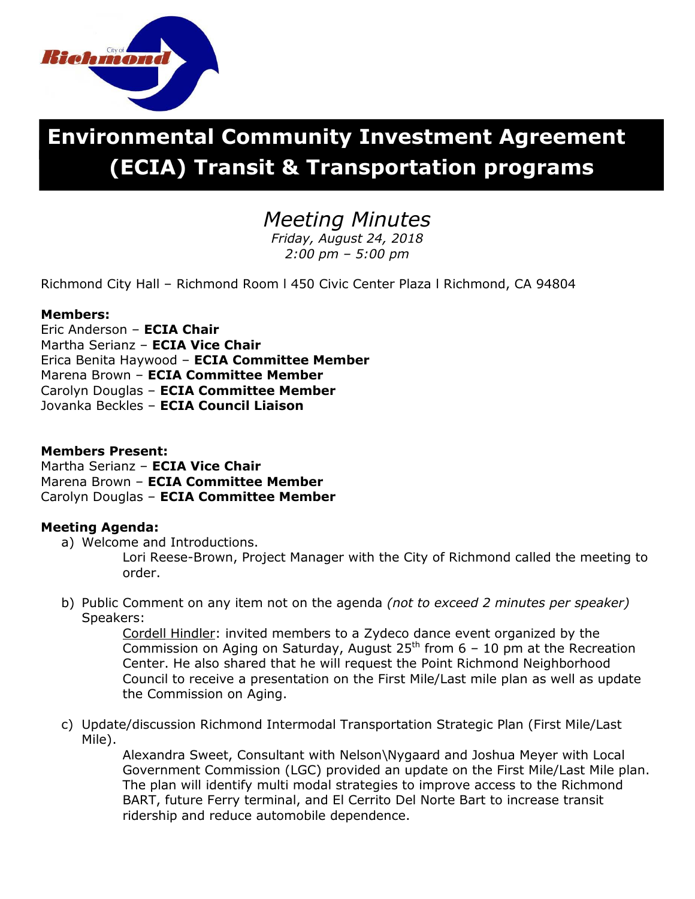

# **Environmental Community Investment Agreement (ECIA) Transit & Transportation programs**

## *Meeting Minutes*

*Friday, August 24, 2018 2:00 pm – 5:00 pm*

Richmond City Hall – Richmond Room l 450 Civic Center Plaza l Richmond, CA 94804

#### **Members:**

Eric Anderson – **ECIA Chair** Martha Serianz – **ECIA Vice Chair** Erica Benita Haywood – **ECIA Committee Member** Marena Brown – **ECIA Committee Member** Carolyn Douglas – **ECIA Committee Member** Jovanka Beckles – **ECIA Council Liaison**

#### **Members Present:**

Martha Serianz – **ECIA Vice Chair** Marena Brown – **ECIA Committee Member** Carolyn Douglas – **ECIA Committee Member**

### **Meeting Agenda:**

a) Welcome and Introductions.

Lori Reese-Brown, Project Manager with the City of Richmond called the meeting to order.

b) Public Comment on any item not on the agenda *(not to exceed 2 minutes per speaker)* Speakers:

Cordell Hindler: invited members to a Zydeco dance event organized by the Commission on Aging on Saturday, August  $25<sup>th</sup>$  from 6 – 10 pm at the Recreation Center. He also shared that he will request the Point Richmond Neighborhood Council to receive a presentation on the First Mile/Last mile plan as well as update the Commission on Aging.

c) Update/discussion Richmond Intermodal Transportation Strategic Plan (First Mile/Last Mile).

Alexandra Sweet, Consultant with Nelson\Nygaard and Joshua Meyer with Local Government Commission (LGC) provided an update on the First Mile/Last Mile plan. The plan will identify multi modal strategies to improve access to the Richmond BART, future Ferry terminal, and El Cerrito Del Norte Bart to increase transit ridership and reduce automobile dependence.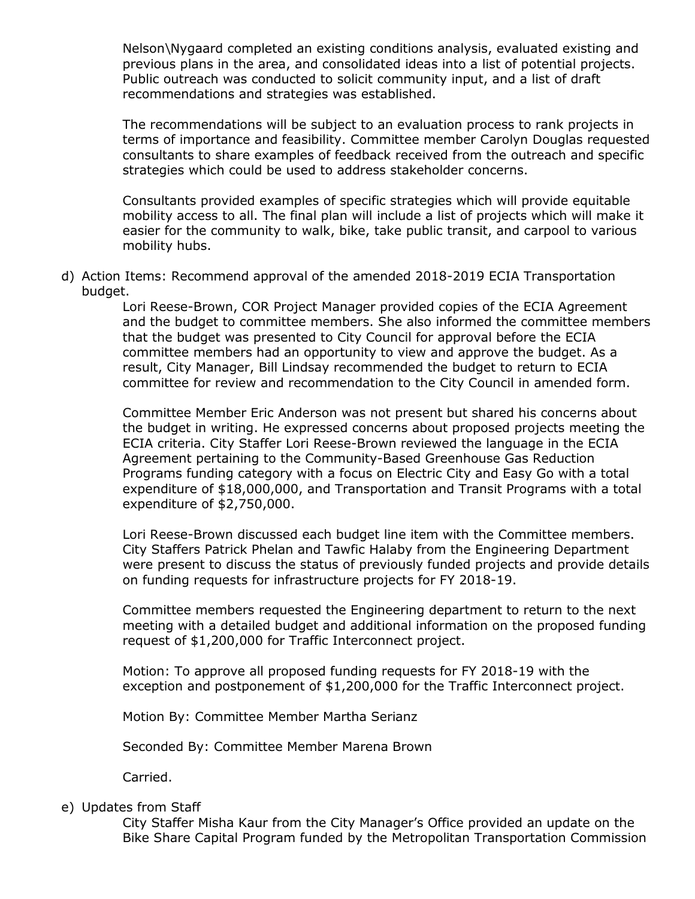Nelson\Nygaard completed an existing conditions analysis, evaluated existing and previous plans in the area, and consolidated ideas into a list of potential projects. Public outreach was conducted to solicit community input, and a list of draft recommendations and strategies was established.

The recommendations will be subject to an evaluation process to rank projects in terms of importance and feasibility. Committee member Carolyn Douglas requested consultants to share examples of feedback received from the outreach and specific strategies which could be used to address stakeholder concerns.

Consultants provided examples of specific strategies which will provide equitable mobility access to all. The final plan will include a list of projects which will make it easier for the community to walk, bike, take public transit, and carpool to various mobility hubs.

d) Action Items: Recommend approval of the amended 2018-2019 ECIA Transportation budget.

> Lori Reese-Brown, COR Project Manager provided copies of the ECIA Agreement and the budget to committee members. She also informed the committee members that the budget was presented to City Council for approval before the ECIA committee members had an opportunity to view and approve the budget. As a result, City Manager, Bill Lindsay recommended the budget to return to ECIA committee for review and recommendation to the City Council in amended form.

Committee Member Eric Anderson was not present but shared his concerns about the budget in writing. He expressed concerns about proposed projects meeting the ECIA criteria. City Staffer Lori Reese-Brown reviewed the language in the ECIA Agreement pertaining to the Community-Based Greenhouse Gas Reduction Programs funding category with a focus on Electric City and Easy Go with a total expenditure of \$18,000,000, and Transportation and Transit Programs with a total expenditure of \$2,750,000.

Lori Reese-Brown discussed each budget line item with the Committee members. City Staffers Patrick Phelan and Tawfic Halaby from the Engineering Department were present to discuss the status of previously funded projects and provide details on funding requests for infrastructure projects for FY 2018-19.

Committee members requested the Engineering department to return to the next meeting with a detailed budget and additional information on the proposed funding request of \$1,200,000 for Traffic Interconnect project.

Motion: To approve all proposed funding requests for FY 2018-19 with the exception and postponement of \$1,200,000 for the Traffic Interconnect project.

Motion By: Committee Member Martha Serianz

Seconded By: Committee Member Marena Brown

Carried.

#### e) Updates from Staff

City Staffer Misha Kaur from the City Manager's Office provided an update on the Bike Share Capital Program funded by the Metropolitan Transportation Commission